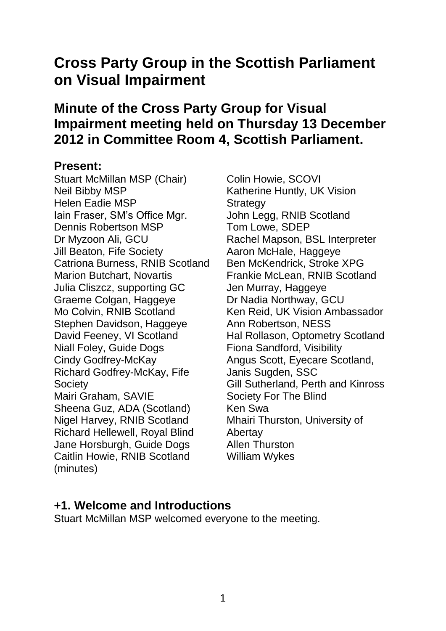# **Cross Party Group in the Scottish Parliament on Visual Impairment**

## **Minute of the Cross Party Group for Visual Impairment meeting held on Thursday 13 December 2012 in Committee Room 4, Scottish Parliament.**

#### **Present:**

Stuart McMillan MSP (Chair) Neil Bibby MSP Helen Eadie MSP Iain Fraser, SM's Office Mgr. Dennis Robertson MSP Dr Myzoon Ali, GCU Jill Beaton, Fife Society Catriona Burness, RNIB Scotland Marion Butchart, Novartis Julia Cliszcz, supporting GC Graeme Colgan, Haggeye Mo Colvin, RNIB Scotland Stephen Davidson, Haggeye David Feeney, VI Scotland Niall Foley, Guide Dogs Cindy Godfrey-McKay Richard Godfrey-McKay, Fife **Society** Mairi Graham, SAVIE Sheena Guz, ADA (Scotland) Nigel Harvey, RNIB Scotland Richard Hellewell, Royal Blind Jane Horsburgh, Guide Dogs Caitlin Howie, RNIB Scotland (minutes)

Colin Howie, SCOVI Katherine Huntly, UK Vision **Strategy** John Legg, RNIB Scotland Tom Lowe, SDEP Rachel Mapson, BSL Interpreter Aaron McHale, Haggeye Ben McKendrick, Stroke XPG Frankie McLean, RNIB Scotland Jen Murray, Haggeye Dr Nadia Northway, GCU Ken Reid, UK Vision Ambassador Ann Robertson, NESS Hal Rollason, Optometry Scotland Fiona Sandford, Visibility Angus Scott, Eyecare Scotland, Janis Sugden, SSC Gill Sutherland, Perth and Kinross Society For The Blind Ken Swa Mhairi Thurston, University of **Abertay** Allen Thurston William Wykes

#### **+1. Welcome and Introductions**

Stuart McMillan MSP welcomed everyone to the meeting.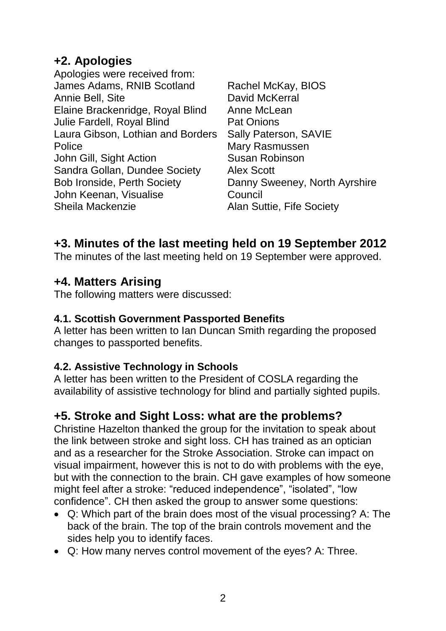### **+2. Apologies**

- Apologies were received from: James Adams, RNIB Scotland Annie Bell, Site Elaine Brackenridge, Royal Blind Julie Fardell, Royal Blind Laura Gibson, Lothian and Borders Police John Gill, Sight Action Sandra Gollan, Dundee Society Bob Ironside, Perth Society John Keenan, Visualise Sheila Mackenzie
- Rachel McKay, BIOS David McKerral Anne McLean Pat Onions Sally Paterson, SAVIE Mary Rasmussen Susan Robinson Alex Scott Danny Sweeney, North Ayrshire **Council** Alan Suttie, Fife Society

### **+3. Minutes of the last meeting held on 19 September 2012**

The minutes of the last meeting held on 19 September were approved.

### **+4. Matters Arising**

The following matters were discussed:

#### **4.1. Scottish Government Passported Benefits**

A letter has been written to Ian Duncan Smith regarding the proposed changes to passported benefits.

#### **4.2. Assistive Technology in Schools**

A letter has been written to the President of COSLA regarding the availability of assistive technology for blind and partially sighted pupils.

### **+5. Stroke and Sight Loss: what are the problems?**

Christine Hazelton thanked the group for the invitation to speak about the link between stroke and sight loss. CH has trained as an optician and as a researcher for the Stroke Association. Stroke can impact on visual impairment, however this is not to do with problems with the eye, but with the connection to the brain. CH gave examples of how someone might feel after a stroke: "reduced independence", "isolated", "low confidence". CH then asked the group to answer some questions:

- Q: Which part of the brain does most of the visual processing? A: The back of the brain. The top of the brain controls movement and the sides help you to identify faces.
- Q: How many nerves control movement of the eyes? A: Three.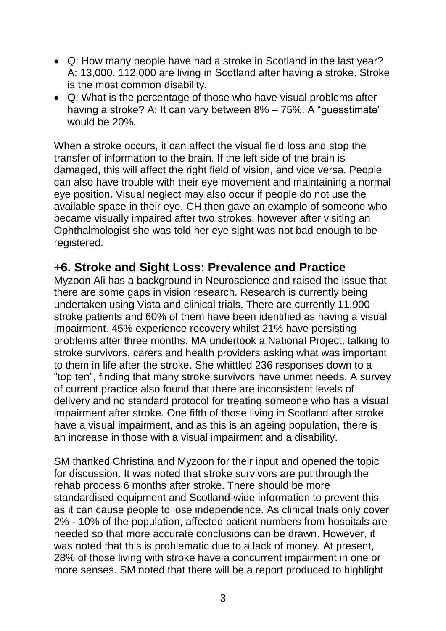- Q: How many people have had a stroke in Scotland in the last year? A: 13,000. 112,000 are living in Scotland after having a stroke. Stroke is the most common disability.
- Q: What is the percentage of those who have visual problems after having a stroke? A: It can vary between 8% – 75%. A "guesstimate" would be 20%.

When a stroke occurs, it can affect the visual field loss and stop the transfer of information to the brain. If the left side of the brain is damaged, this will affect the right field of vision, and vice versa. People can also have trouble with their eye movement and maintaining a normal eye position. Visual neglect may also occur if people do not use the available space in their eye. CH then gave an example of someone who became visually impaired after two strokes, however after visiting an Ophthalmologist she was told her eye sight was not bad enough to be registered.

### **+6. Stroke and Sight Loss: Prevalence and Practice**

Myzoon Ali has a background in Neuroscience and raised the issue that there are some gaps in vision research. Research is currently being undertaken using Vista and clinical trials. There are currently 11,900 stroke patients and 60% of them have been identified as having a visual impairment. 45% experience recovery whilst 21% have persisting problems after three months. MA undertook a National Project, talking to stroke survivors, carers and health providers asking what was important to them in life after the stroke. She whittled 236 responses down to a "top ten", finding that many stroke survivors have unmet needs. A survey of current practice also found that there are inconsistent levels of delivery and no standard protocol for treating someone who has a visual impairment after stroke. One fifth of those living in Scotland after stroke have a visual impairment, and as this is an ageing population, there is an increase in those with a visual impairment and a disability.

SM thanked Christina and Myzoon for their input and opened the topic for discussion. It was noted that stroke survivors are put through the rehab process 6 months after stroke. There should be more standardised equipment and Scotland-wide information to prevent this as it can cause people to lose independence. As clinical trials only cover 2% - 10% of the population, affected patient numbers from hospitals are needed so that more accurate conclusions can be drawn. However, it was noted that this is problematic due to a lack of money. At present, 28% of those living with stroke have a concurrent impairment in one or more senses. SM noted that there will be a report produced to highlight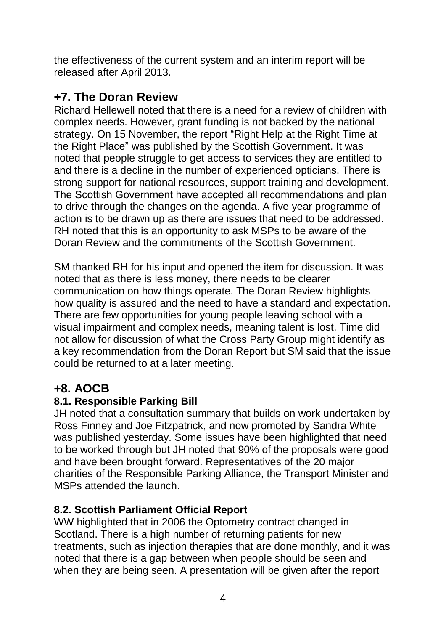the effectiveness of the current system and an interim report will be released after April 2013.

### **+7. The Doran Review**

Richard Hellewell noted that there is a need for a review of children with complex needs. However, grant funding is not backed by the national strategy. On 15 November, the report "Right Help at the Right Time at the Right Place" was published by the Scottish Government. It was noted that people struggle to get access to services they are entitled to and there is a decline in the number of experienced opticians. There is strong support for national resources, support training and development. The Scottish Government have accepted all recommendations and plan to drive through the changes on the agenda. A five year programme of action is to be drawn up as there are issues that need to be addressed. RH noted that this is an opportunity to ask MSPs to be aware of the Doran Review and the commitments of the Scottish Government.

SM thanked RH for his input and opened the item for discussion. It was noted that as there is less money, there needs to be clearer communication on how things operate. The Doran Review highlights how quality is assured and the need to have a standard and expectation. There are few opportunities for young people leaving school with a visual impairment and complex needs, meaning talent is lost. Time did not allow for discussion of what the Cross Party Group might identify as a key recommendation from the Doran Report but SM said that the issue could be returned to at a later meeting.

### **+8. AOCB**

#### **8.1. Responsible Parking Bill**

JH noted that a consultation summary that builds on work undertaken by Ross Finney and Joe Fitzpatrick, and now promoted by Sandra White was published yesterday. Some issues have been highlighted that need to be worked through but JH noted that 90% of the proposals were good and have been brought forward. Representatives of the 20 major charities of the Responsible Parking Alliance, the Transport Minister and MSPs attended the launch.

#### **8.2. Scottish Parliament Official Report**

WW highlighted that in 2006 the Optometry contract changed in Scotland. There is a high number of returning patients for new treatments, such as injection therapies that are done monthly, and it was noted that there is a gap between when people should be seen and when they are being seen. A presentation will be given after the report